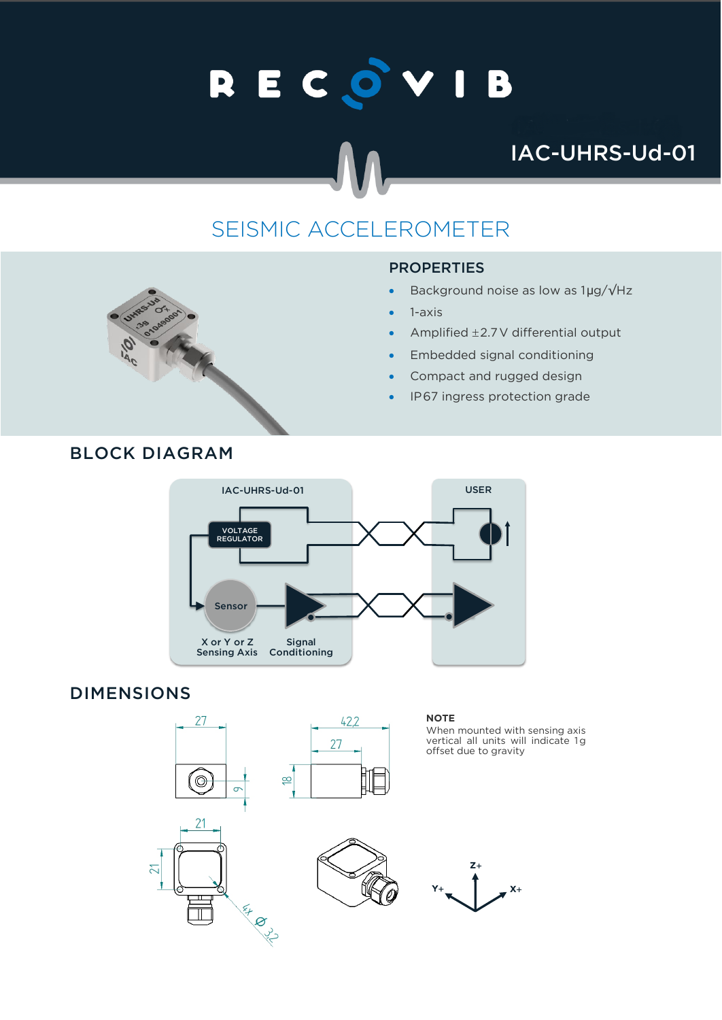# RECOVIB

## IAC-UHRS-Ud-01

## SEISMIC ACCELEROMETER

#### **PROPERTIES**

- Background noise as low as 1µg/√Hz
- 1-axis
- Amplified  $\pm$  2.7 V differential output
- Embedded signal conditioning
- Compact and rugged design
- IP67 ingress protection grade



#### DIMENSIONS







**NOTE**



 $\overline{z}$ 

offset due to gravity

When mounted with sensing axis vertical all units will indicate 1g

### BLOCK DIAGRAM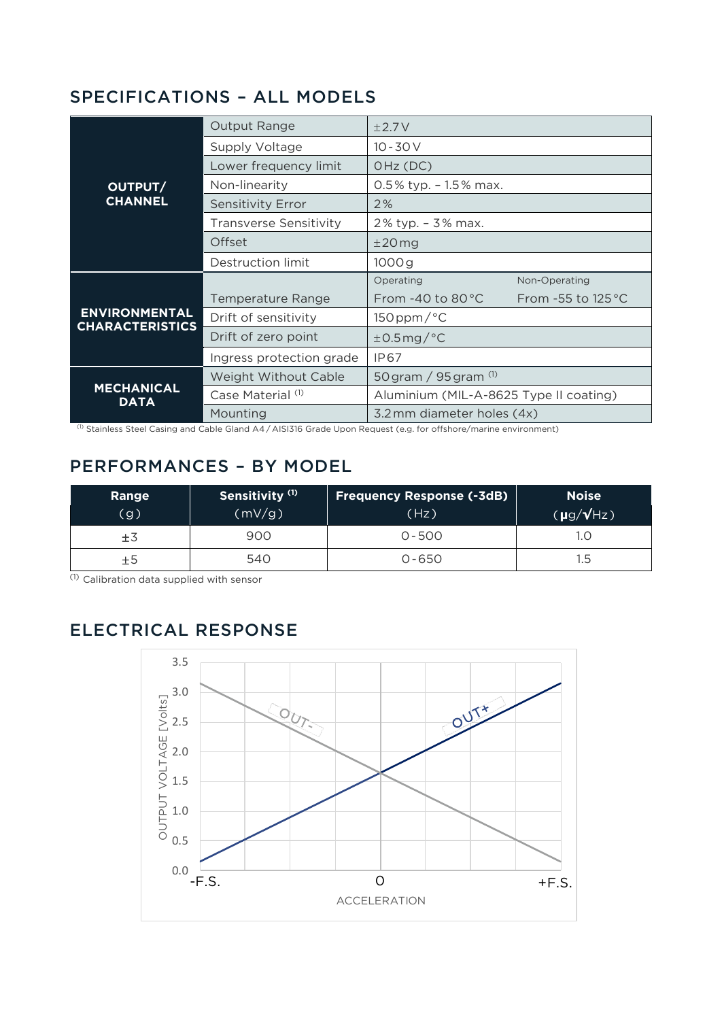#### SPECIFICATIONS – ALL MODELS

| OUTPUT/<br><b>CHANNEL</b>                      | <b>Output Range</b>           | $\pm 2.7V$                             |                             |
|------------------------------------------------|-------------------------------|----------------------------------------|-----------------------------|
|                                                | Supply Voltage                | $10 - 30V$                             |                             |
|                                                | Lower frequency limit         | OHz (DC)                               |                             |
|                                                | Non-linearity                 | $0.5\%$ typ. $-1.5\%$ max.             |                             |
|                                                | <b>Sensitivity Error</b>      | 2%                                     |                             |
|                                                | <b>Transverse Sensitivity</b> | 2% typ. - 3% max.                      |                             |
|                                                | Offset                        | $±20$ mg                               |                             |
|                                                | Destruction limit             | 1000g                                  |                             |
| <b>ENVIRONMENTAL</b><br><b>CHARACTERISTICS</b> |                               | Operating                              | Non-Operating               |
|                                                | Temperature Range             | From $-40$ to 80 $^{\circ}$ C          | From -55 to $125^{\circ}$ C |
|                                                | Drift of sensitivity          | $150$ ppm/ $\degree$ C                 |                             |
|                                                | Drift of zero point           | $\pm$ 0.5 mg/°C                        |                             |
|                                                | Ingress protection grade      | IP67                                   |                             |
| <b>MECHANICAL</b><br><b>DATA</b>               | Weight Without Cable          | 50 gram / $95$ gram $^{(1)}$           |                             |
|                                                | Case Material (1)             | Aluminium (MIL-A-8625 Type II coating) |                             |
|                                                | Mounting                      | 3.2 mm diameter holes (4x)             |                             |

(1) Stainless Steel Casing and Cable Gland A4 / AISI316 Grade Upon Request (e.g. for offshore/marine environment)

#### PERFORMANCES – BY MODEL

| Range<br>g) | Sensitivity <sup>(1)</sup><br>(mV/g) | <b>Frequency Response (-3dB)</b><br>(Hz) | <b>Noise</b><br>$(\mu g/\sqrt{Hz})$ |
|-------------|--------------------------------------|------------------------------------------|-------------------------------------|
| ±3          | 900                                  | $0 - 500$                                | 1.C                                 |
| ±5          | 540                                  | $0 - 650$                                | $1.5\,$                             |

(1) Calibration data supplied with sensor

#### ELECTRICAL RESPONSE